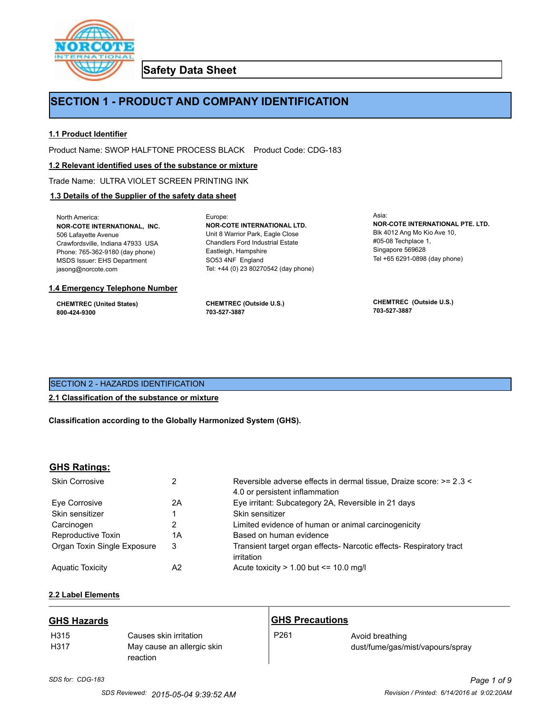

**Safety Data Sheet**

# **SECTION 1 - PRODUCT AND COMPANY IDENTIFICATION**

#### **1.1 Product Identifier**

Product Name: SWOP HALFTONE PROCESS BLACK Product Code: CDG-183

Europe:

#### **1.2 Relevant identified uses of the substance or mixture**

Trade Name: ULTRA VIOLET SCREEN PRINTING INK

#### **1.3 Details of the Supplier of the safety data sheet**

North America: **NOR-COTE INTERNATIONAL, INC.** 506 Lafayette Avenue Crawfordsville, Indiana 47933 USA Phone: 765-362-9180 (day phone) MSDS Issuer: EHS Department jasong@norcote.com

#### **1.4 Emergency Telephone Number**

**CHEMTREC (United States) 800-424-9300**

**CHEMTREC (Outside U.S.) 703-527-3887**

Eastleigh, Hampshire SO53 4NF England

**NOR-COTE INTERNATIONAL LTD.** Unit 8 Warrior Park, Eagle Close Chandlers Ford Industrial Estate

Tel: +44 (0) 23 80270542 (day phone)

Asia: **NOR-COTE INTERNATIONAL PTE. LTD.** Blk 4012 Ang Mo Kio Ave 10, #05-08 Techplace 1, Singapore 569628 Tel +65 6291-0898 (day phone)

**CHEMTREC (Outside U.S.) 703-527-3887**

# SECTION 2 - HAZARDS IDENTIFICATION

#### **2.1 Classification of the substance or mixture**

**Classification according to the Globally Harmonized System (GHS).**

#### **GHS Ratings:**

| <b>Skin Corrosive</b>       | 2  | Reversible adverse effects in dermal tissue, Draize score: >= 2.3 <<br>4.0 or persistent inflammation |
|-----------------------------|----|-------------------------------------------------------------------------------------------------------|
| Eve Corrosive               | 2A | Eye irritant: Subcategory 2A, Reversible in 21 days                                                   |
| Skin sensitizer             |    | Skin sensitizer                                                                                       |
| Carcinogen                  |    | Limited evidence of human or animal carcinogenicity                                                   |
| Reproductive Toxin          | 1А | Based on human evidence                                                                               |
| Organ Toxin Single Exposure | 3  | Transient target organ effects- Narcotic effects- Respiratory tract<br>irritation                     |
| <b>Aguatic Toxicity</b>     | A2 | Acute toxicity $> 1.00$ but $\leq 10.0$ mg/l                                                          |

# **2.2 Label Elements**

| <b>GHS Hazards</b>       |                                                                  | <b>GHS Precautions</b> |                                                     |
|--------------------------|------------------------------------------------------------------|------------------------|-----------------------------------------------------|
| H <sub>315</sub><br>H317 | Causes skin irritation<br>May cause an allergic skin<br>reaction | P <sub>261</sub>       | Avoid breathing<br>dust/fume/gas/mist/vapours/spray |

# *SDS for: CDG-183 Page 1 of 9*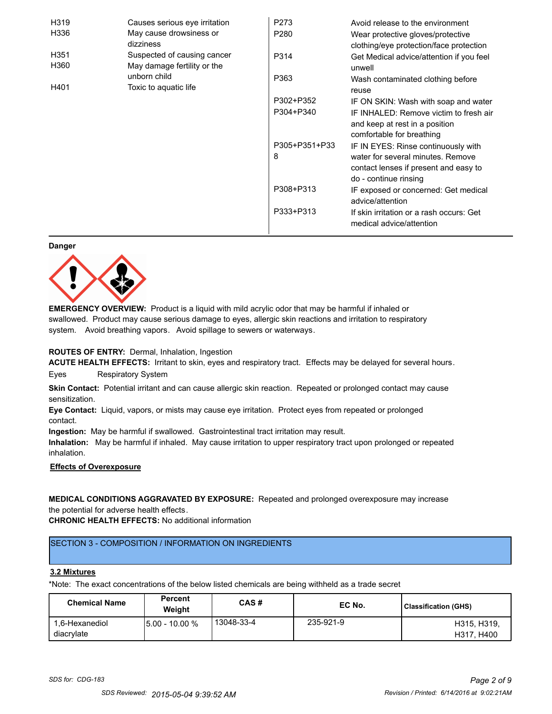| H319             | Causes serious eye irritation | P273             | Avoid release to the environment         |
|------------------|-------------------------------|------------------|------------------------------------------|
| H336             | May cause drowsiness or       | P <sub>280</sub> | Wear protective gloves/protective        |
|                  | dizziness                     |                  | clothing/eye protection/face protection  |
| H <sub>351</sub> | Suspected of causing cancer   | P314             | Get Medical advice/attention if you feel |
| H360             | May damage fertility or the   |                  | unwell                                   |
|                  | unborn child                  | P363             | Wash contaminated clothing before        |
| H401             | Toxic to aquatic life         |                  | reuse                                    |
|                  |                               | P302+P352        | IF ON SKIN: Wash with soap and water     |
|                  |                               | P304+P340        | IF INHALED: Remove victim to fresh air   |
|                  |                               |                  | and keep at rest in a position           |
|                  |                               |                  | comfortable for breathing                |
|                  |                               | P305+P351+P33    | IF IN EYES: Rinse continuously with      |
|                  |                               | 8                | water for several minutes. Remove        |
|                  |                               |                  | contact lenses if present and easy to    |
|                  |                               |                  | do - continue rinsing                    |
|                  |                               | P308+P313        | IF exposed or concerned: Get medical     |
|                  |                               |                  | advice/attention                         |
|                  |                               | P333+P313        | If skin irritation or a rash occurs: Get |
|                  |                               |                  | medical advice/attention                 |

#### **Danger**



**EMERGENCY OVERVIEW:** Product is a liquid with mild acrylic odor that may be harmful if inhaled or swallowed. Product may cause serious damage to eyes, allergic skin reactions and irritation to respiratory system. Avoid breathing vapors. Avoid spillage to sewers or waterways.

#### **ROUTES OF ENTRY:** Dermal, Inhalation, Ingestion

**ACUTE HEALTH EFFECTS:** Irritant to skin, eyes and respiratory tract. Effects may be delayed for several hours. Eyes Respiratory System

**Skin Contact:** Potential irritant and can cause allergic skin reaction. Repeated or prolonged contact may cause sensitization.

**Eye Contact:** Liquid, vapors, or mists may cause eye irritation. Protect eyes from repeated or prolonged contact.

**Ingestion:** May be harmful if swallowed. Gastrointestinal tract irritation may result.

**Inhalation:** May be harmful if inhaled. May cause irritation to upper respiratory tract upon prolonged or repeated inhalation.

# **Effects of Overexposure**

**MEDICAL CONDITIONS AGGRAVATED BY EXPOSURE:** Repeated and prolonged overexposure may increase the potential for adverse health effects.

**CHRONIC HEALTH EFFECTS:** No additional information

# SECTION 3 - COMPOSITION / INFORMATION ON INGREDIENTS

#### **3.2 Mixtures**

\*Note: The exact concentrations of the below listed chemicals are being withheld as a trade secret

| <b>Chemical Name</b>         | <b>Percent</b><br>Weight | CAS#       | EC No.    | <b>Classification (GHS)</b> |
|------------------------------|--------------------------|------------|-----------|-----------------------------|
| 1.6-Hexanediol<br>diacrylate | <b>5.00 - 10.00 %</b>    | 13048-33-4 | 235-921-9 | H315, H319,<br>H317, H400   |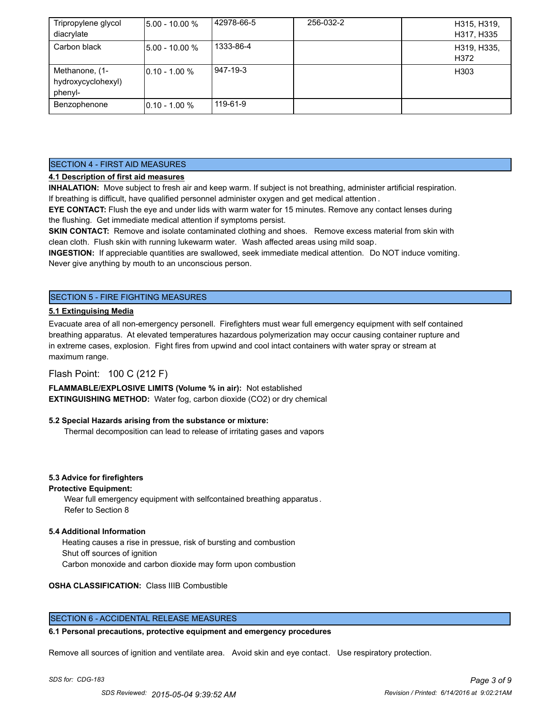| Tripropylene glycol | $15.00 - 10.00 %$ | 42978-66-5 | 256-032-2 | H315, H319,         |
|---------------------|-------------------|------------|-----------|---------------------|
| diacrylate          |                   |            |           | H317, H335          |
| Carbon black        | $15.00 - 10.00 %$ | 1333-86-4  |           | H319, H335,<br>H372 |
|                     |                   |            |           |                     |
| Methanone, (1-      | $10.10 - 1.00 %$  | 947-19-3   |           | H303                |
| hydroxycyclohexyl)  |                   |            |           |                     |
| phenyl-             |                   |            |           |                     |
| Benzophenone        | $10.10 - 1.00 %$  | 119-61-9   |           |                     |

# SECTION 4 - FIRST AID MEASURES

# **4.1 Description of first aid measures**

**INHALATION:** Move subject to fresh air and keep warm. If subject is not breathing, administer artificial respiration. If breathing is difficult, have qualified personnel administer oxygen and get medical attention .

**EYE CONTACT:** Flush the eye and under lids with warm water for 15 minutes. Remove any contact lenses during the flushing. Get immediate medical attention if symptoms persist.

**SKIN CONTACT:** Remove and isolate contaminated clothing and shoes. Remove excess material from skin with clean cloth. Flush skin with running lukewarm water. Wash affected areas using mild soap.

**INGESTION:** If appreciable quantities are swallowed, seek immediate medical attention. Do NOT induce vomiting. Never give anything by mouth to an unconscious person.

# SECTION 5 - FIRE FIGHTING MEASURES

# **5.1 Extinguising Media**

Evacuate area of all non-emergency personell. Firefighters must wear full emergency equipment with self contained breathing apparatus. At elevated temperatures hazardous polymerization may occur causing container rupture and in extreme cases, explosion. Fight fires from upwind and cool intact containers with water spray or stream at maximum range.

# Flash Point: 100 C (212 F)

**FLAMMABLE/EXPLOSIVE LIMITS (Volume % in air):** Not established **EXTINGUISHING METHOD:** Water fog, carbon dioxide (CO2) or dry chemical

#### **5.2 Special Hazards arising from the substance or mixture:**

Thermal decomposition can lead to release of irritating gases and vapors

#### **5.3 Advice for firefighters**

#### **Protective Equipment:**

Wear full emergency equipment with selfcontained breathing apparatus . Refer to Section 8

#### **5.4 Additional Information**

 Heating causes a rise in pressue, risk of bursting and combustion Shut off sources of ignition Carbon monoxide and carbon dioxide may form upon combustion

**OSHA CLASSIFICATION:** Class IIIB Combustible

#### SECTION 6 - ACCIDENTAL RELEASE MEASURES

#### **6.1 Personal precautions, protective equipment and emergency procedures**

Remove all sources of ignition and ventilate area. Avoid skin and eye contact. Use respiratory protection.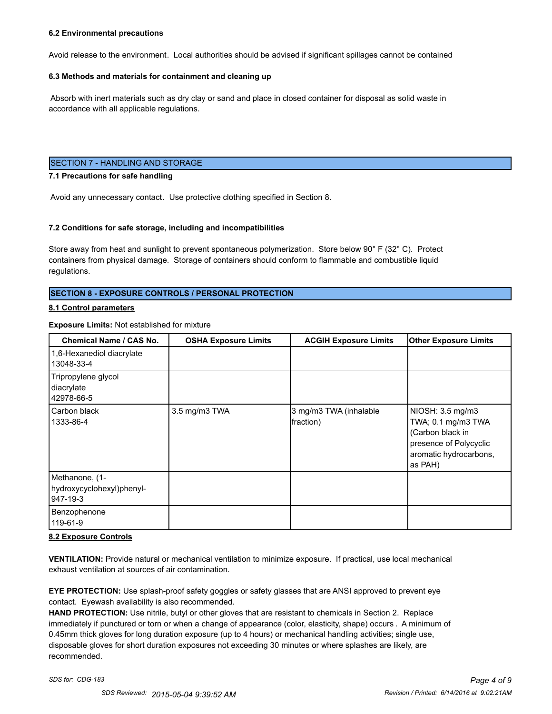#### **6.2 Environmental precautions**

Avoid release to the environment. Local authorities should be advised if significant spillages cannot be contained

#### **6.3 Methods and materials for containment and cleaning up**

 Absorb with inert materials such as dry clay or sand and place in closed container for disposal as solid waste in accordance with all applicable regulations.

#### SECTION 7 - HANDLING AND STORAGE

#### **7.1 Precautions for safe handling**

Avoid any unnecessary contact. Use protective clothing specified in Section 8.

#### **7.2 Conditions for safe storage, including and incompatibilities**

Store away from heat and sunlight to prevent spontaneous polymerization. Store below 90° F (32° C). Protect containers from physical damage. Storage of containers should conform to flammable and combustible liquid regulations.

#### **SECTION 8 - EXPOSURE CONTROLS / PERSONAL PROTECTION**

#### **8.1 Control parameters**

#### **Exposure Limits:** Not established for mixture

| Chemical Name / CAS No.                                 | <b>OSHA Exposure Limits</b> | <b>ACGIH Exposure Limits</b>        | <b>Other Exposure Limits</b>                                                                                              |
|---------------------------------------------------------|-----------------------------|-------------------------------------|---------------------------------------------------------------------------------------------------------------------------|
| 1,6-Hexanediol diacrylate<br>13048-33-4                 |                             |                                     |                                                                                                                           |
| Tripropylene glycol<br>diacrylate<br>42978-66-5         |                             |                                     |                                                                                                                           |
| Carbon black<br>1333-86-4                               | 3.5 mg/m3 TWA               | 3 mg/m3 TWA (inhalable<br>fraction) | NIOSH: 3.5 mg/m3<br>TWA; 0.1 mg/m3 TWA<br>(Carbon black in<br>presence of Polycyclic<br>aromatic hydrocarbons,<br>as PAH) |
| Methanone, (1-<br>hydroxycyclohexyl)phenyl-<br>947-19-3 |                             |                                     |                                                                                                                           |
| Benzophenone<br>119-61-9                                |                             |                                     |                                                                                                                           |

#### **8.2 Exposure Controls**

**VENTILATION:** Provide natural or mechanical ventilation to minimize exposure. If practical, use local mechanical exhaust ventilation at sources of air contamination.

**EYE PROTECTION:** Use splash-proof safety goggles or safety glasses that are ANSI approved to prevent eye contact. Eyewash availability is also recommended.

**HAND PROTECTION:** Use nitrile, butyl or other gloves that are resistant to chemicals in Section 2. Replace immediately if punctured or torn or when a change of appearance (color, elasticity, shape) occurs . A minimum of 0.45mm thick gloves for long duration exposure (up to 4 hours) or mechanical handling activities; single use, disposable gloves for short duration exposures not exceeding 30 minutes or where splashes are likely, are recommended.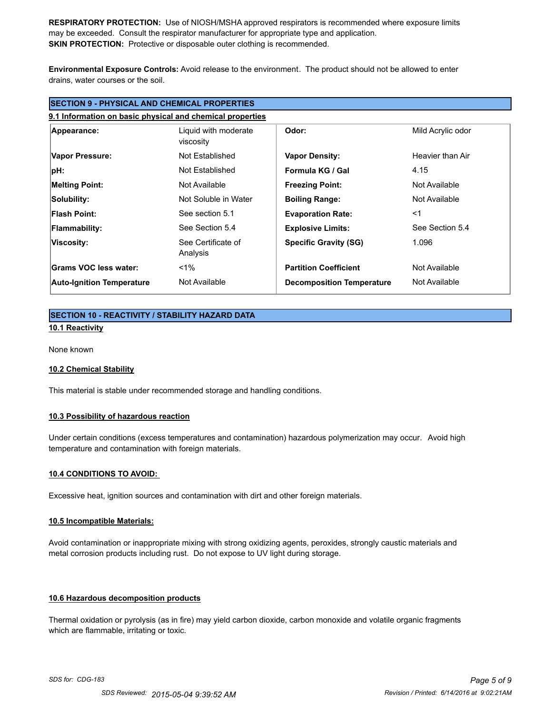**RESPIRATORY PROTECTION:** Use of NIOSH/MSHA approved respirators is recommended where exposure limits may be exceeded. Consult the respirator manufacturer for appropriate type and application. **SKIN PROTECTION:** Protective or disposable outer clothing is recommended.

**Environmental Exposure Controls:** Avoid release to the environment. The product should not be allowed to enter drains, water courses or the soil.

| <b>SECTION 9 - PHYSICAL AND CHEMICAL PROPERTIES</b> |                                                           |                                  |                   |  |
|-----------------------------------------------------|-----------------------------------------------------------|----------------------------------|-------------------|--|
|                                                     | 9.1 Information on basic physical and chemical properties |                                  |                   |  |
| Appearance:                                         | Liquid with moderate<br>viscosity                         | Odor:                            | Mild Acrylic odor |  |
| Vapor Pressure:                                     | Not Established                                           | <b>Vapor Density:</b>            | Heavier than Air  |  |
| pH:                                                 | Not Established                                           | Formula KG / Gal                 | 4.15              |  |
| <b>Melting Point:</b>                               | Not Available                                             | <b>Freezing Point:</b>           | Not Available     |  |
| Solubility:                                         | Not Soluble in Water                                      | <b>Boiling Range:</b>            | Not Available     |  |
| <b>Flash Point:</b>                                 | See section 5.1                                           | <b>Evaporation Rate:</b>         | $<$ 1             |  |
| Flammability:                                       | See Section 5.4                                           | <b>Explosive Limits:</b>         | See Section 5.4   |  |
| Viscosity:                                          | See Certificate of<br>Analysis                            | <b>Specific Gravity (SG)</b>     | 1.096             |  |
| Grams VOC less water:                               | $1\%$                                                     | <b>Partition Coefficient</b>     | Not Available     |  |
| <b>Auto-Ignition Temperature</b>                    | Not Available                                             | <b>Decomposition Temperature</b> | Not Available     |  |

# **SECTION 10 - REACTIVITY / STABILITY HAZARD DATA**

**10.1 Reactivity**

None known

#### **10.2 Chemical Stability**

This material is stable under recommended storage and handling conditions.

#### **10.3 Possibility of hazardous reaction**

Under certain conditions (excess temperatures and contamination) hazardous polymerization may occur. Avoid high temperature and contamination with foreign materials.

#### **10.4 CONDITIONS TO AVOID:**

Excessive heat, ignition sources and contamination with dirt and other foreign materials.

#### **10.5 Incompatible Materials:**

Avoid contamination or inappropriate mixing with strong oxidizing agents, peroxides, strongly caustic materials and metal corrosion products including rust. Do not expose to UV light during storage.

#### **10.6 Hazardous decomposition products**

Thermal oxidation or pyrolysis (as in fire) may yield carbon dioxide, carbon monoxide and volatile organic fragments which are flammable, irritating or toxic.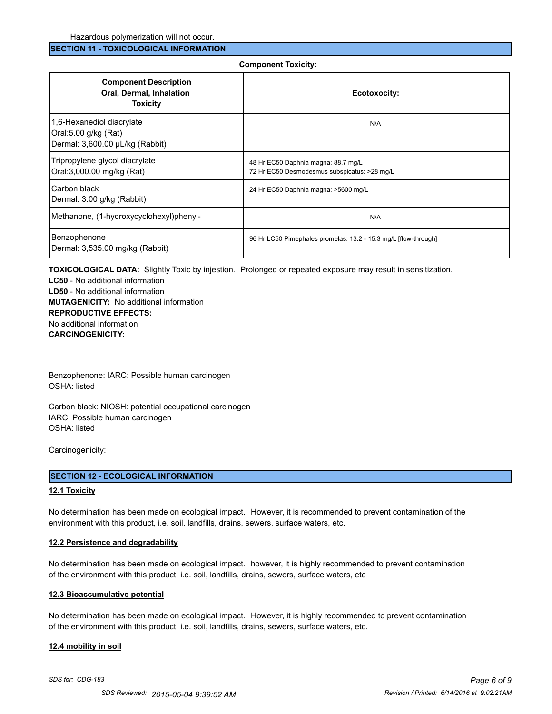#### **SECTION 11 - TOXICOLOGICAL INFORMATION**

#### **Component Toxicity:**

| <b>Component Description</b><br>Oral, Dermal, Inhalation<br><b>Toxicity</b>          | Ecotoxocity:                                                                        |
|--------------------------------------------------------------------------------------|-------------------------------------------------------------------------------------|
| 1,6-Hexanediol diacrylate<br>Oral:5.00 g/kg (Rat)<br>Dermal: 3,600.00 µL/kg (Rabbit) | N/A                                                                                 |
| Tripropylene glycol diacrylate<br>Oral:3,000.00 mg/kg (Rat)                          | 48 Hr EC50 Daphnia magna: 88.7 mg/L<br>72 Hr EC50 Desmodesmus subspicatus: >28 mg/L |
| ICarbon black<br>Dermal: 3.00 g/kg (Rabbit)                                          | 24 Hr EC50 Daphnia magna: >5600 mg/L                                                |
| Methanone, (1-hydroxycyclohexyl)phenyl-                                              | N/A                                                                                 |
| Benzophenone<br>Dermal: 3,535.00 mg/kg (Rabbit)                                      | 96 Hr LC50 Pimephales promelas: 13.2 - 15.3 mg/L [flow-through]                     |

**TOXICOLOGICAL DATA:** Slightly Toxic by injestion. Prolonged or repeated exposure may result in sensitization.

**LC50** - No additional information **LD50** - No additional information **MUTAGENICITY:** No additional information **REPRODUCTIVE EFFECTS:** No additional information **CARCINOGENICITY:**

Benzophenone: IARC: Possible human carcinogen OSHA: listed

Carbon black: NIOSH: potential occupational carcinogen IARC: Possible human carcinogen OSHA: listed

Carcinogenicity:

#### **SECTION 12 - ECOLOGICAL INFORMATION**

#### **12.1 Toxicity**

No determination has been made on ecological impact. However, it is recommended to prevent contamination of the environment with this product, i.e. soil, landfills, drains, sewers, surface waters, etc.

#### **12.2 Persistence and degradability**

No determination has been made on ecological impact. however, it is highly recommended to prevent contamination of the environment with this product, i.e. soil, landfills, drains, sewers, surface waters, etc

#### **12.3 Bioaccumulative potential**

No determination has been made on ecological impact. However, it is highly recommended to prevent contamination of the environment with this product, i.e. soil, landfills, drains, sewers, surface waters, etc.

#### **12.4 mobility in soil**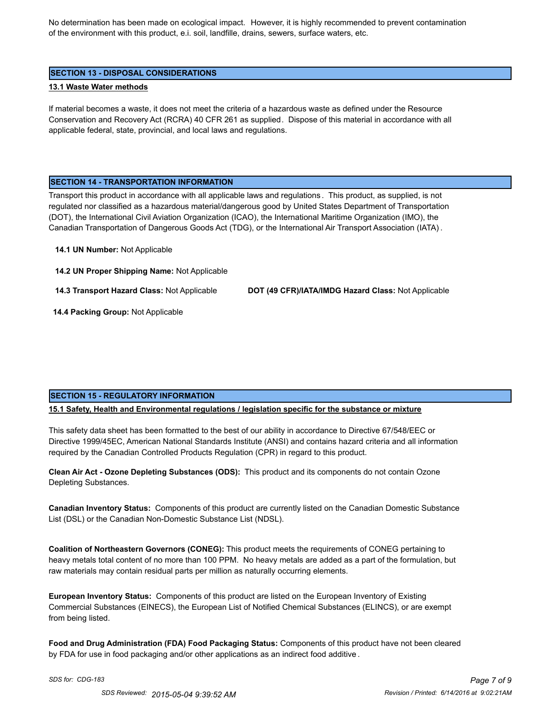No determination has been made on ecological impact. However, it is highly recommended to prevent contamination of the environment with this product, e.i. soil, landfille, drains, sewers, surface waters, etc.

#### **SECTION 13 - DISPOSAL CONSIDERATIONS**

#### **13.1 Waste Water methods**

If material becomes a waste, it does not meet the criteria of a hazardous waste as defined under the Resource Conservation and Recovery Act (RCRA) 40 CFR 261 as supplied. Dispose of this material in accordance with all applicable federal, state, provincial, and local laws and regulations.

#### **SECTION 14 - TRANSPORTATION INFORMATION**

Transport this product in accordance with all applicable laws and regulations . This product, as supplied, is not regulated nor classified as a hazardous material/dangerous good by United States Department of Transportation (DOT), the International Civil Aviation Organization (ICAO), the International Maritime Organization (IMO), the Canadian Transportation of Dangerous Goods Act (TDG), or the International Air Transport Association (IATA) .

#### **14.1 UN Number:** Not Applicable

**14.2 UN Proper Shipping Name:** Not Applicable

**14.3 Transport Hazard Class:** Not Applicable **DOT (49 CFR)/IATA/IMDG Hazard Class:** Not Applicable

 **14.4 Packing Group:** Not Applicable

# **SECTION 15 - REGULATORY INFORMATION**

#### **15.1 Safety, Health and Environmental regulations / legislation specific for the substance or mixture**

This safety data sheet has been formatted to the best of our ability in accordance to Directive 67/548/EEC or Directive 1999/45EC, American National Standards Institute (ANSI) and contains hazard criteria and all information required by the Canadian Controlled Products Regulation (CPR) in regard to this product.

**Clean Air Act - Ozone Depleting Substances (ODS):** This product and its components do not contain Ozone Depleting Substances.

**Canadian Inventory Status:** Components of this product are currently listed on the Canadian Domestic Substance List (DSL) or the Canadian Non-Domestic Substance List (NDSL).

**Coalition of Northeastern Governors (CONEG):** This product meets the requirements of CONEG pertaining to heavy metals total content of no more than 100 PPM. No heavy metals are added as a part of the formulation, but raw materials may contain residual parts per million as naturally occurring elements.

**European Inventory Status:** Components of this product are listed on the European Inventory of Existing Commercial Substances (EINECS), the European List of Notified Chemical Substances (ELINCS), or are exempt from being listed.

**Food and Drug Administration (FDA) Food Packaging Status:** Components of this product have not been cleared by FDA for use in food packaging and/or other applications as an indirect food additive .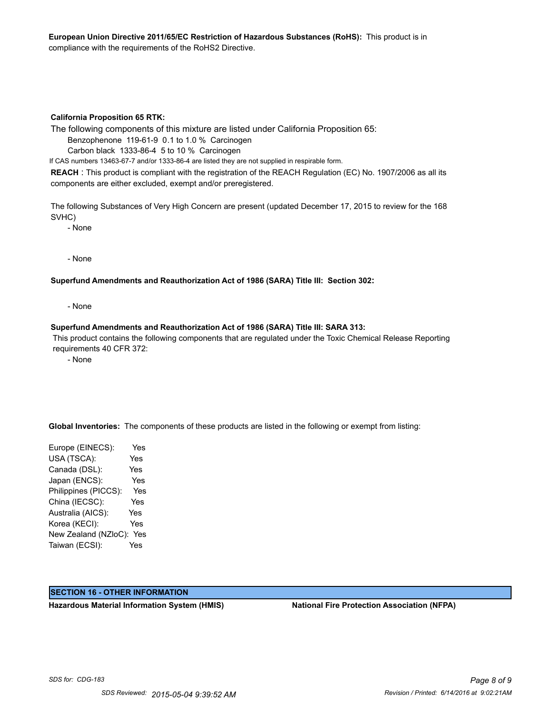#### **California Proposition 65 RTK:**

The following components of this mixture are listed under California Proposition 65:

Benzophenone 119-61-9 0.1 to 1.0 % Carcinogen

Carbon black 1333-86-4 5 to 10 % Carcinogen

If CAS numbers 13463-67-7 and/or 1333-86-4 are listed they are not supplied in respirable form.

**REACH** : This product is compliant with the registration of the REACH Regulation (EC) No. 1907/2006 as all its components are either excluded, exempt and/or preregistered.

The following Substances of Very High Concern are present (updated December 17, 2015 to review for the 168 SVHC)

- None

- None

#### **Superfund Amendments and Reauthorization Act of 1986 (SARA) Title III: Section 302:**

- None

#### **Superfund Amendments and Reauthorization Act of 1986 (SARA) Title III: SARA 313:**

 This product contains the following components that are regulated under the Toxic Chemical Release Reporting requirements 40 CFR 372:

- None

**Global Inventories:** The components of these products are listed in the following or exempt from listing:

Europe (EINECS): Yes USA (TSCA): Yes Canada (DSL): Yes Japan (ENCS): Yes Philippines (PICCS): Yes China (IECSC): Yes Australia (AICS): Yes Korea (KECI): Yes New Zealand (NZloC): Yes Taiwan (ECSI): Yes

#### **SECTION 16 - OTHER INFORMATION**

**Hazardous Material Information System (HMIS) National Fire Protection Association (NFPA)**